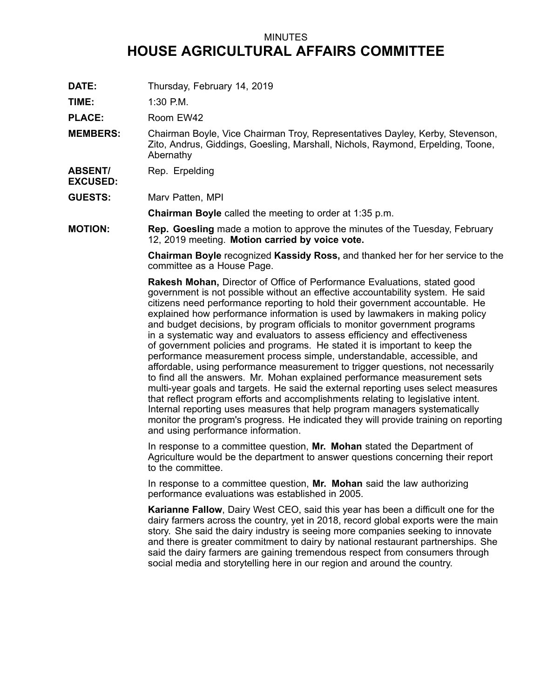## MINUTES **HOUSE AGRICULTURAL AFFAIRS COMMITTEE**

**DATE:** Thursday, February 14, 2019

**TIME:** 1:30 P.M.

**EXCUSED:**

PLACE: Room EW42

**MEMBERS:** Chairman Boyle, Vice Chairman Troy, Representatives Dayley, Kerby, Stevenson, Zito, Andrus, Giddings, Goesling, Marshall, Nichols, Raymond, Erpelding, Toone, Abernathy

**ABSENT/** Rep. Erpelding

**GUESTS:** Marv Patten, MPI

**Chairman Boyle** called the meeting to order at 1:35 p.m.

**MOTION: Rep. Goesling** made <sup>a</sup> motion to approve the minutes of the Tuesday, February 12, 2019 meeting. **Motion carried by voice vote.**

> **Chairman Boyle** recognized **Kassidy Ross,** and thanked her for her service to the committee as <sup>a</sup> House Page.

> **Rakesh Mohan,** Director of Office of Performance Evaluations, stated good government is not possible without an effective accountability system. He said citizens need performance reporting to hold their government accountable. He explained how performance information is used by lawmakers in making policy and budget decisions, by program officials to monitor government programs in <sup>a</sup> systematic way and evaluators to assess efficiency and effectiveness of government policies and programs. He stated it is important to keep the performance measurement process simple, understandable, accessible, and affordable, using performance measurement to trigger questions, not necessarily to find all the answers. Mr. Mohan explained performance measurement sets multi-year goals and targets. He said the external reporting uses select measures that reflect program efforts and accomplishments relating to legislative intent. Internal reporting uses measures that help program managers systematically monitor the program's progress. He indicated they will provide training on reporting and using performance information.

In response to <sup>a</sup> committee question, **Mr. Mohan** stated the Department of Agriculture would be the department to answer questions concerning their report to the committee.

In response to <sup>a</sup> committee question, **Mr. Mohan** said the law authorizing performance evaluations was established in 2005.

**Karianne Fallow**, Dairy West CEO, said this year has been <sup>a</sup> difficult one for the dairy farmers across the country, yet in 2018, record global exports were the main story. She said the dairy industry is seeing more companies seeking to innovate and there is greater commitment to dairy by national restaurant partnerships. She said the dairy farmers are gaining tremendous respect from consumers through social media and storytelling here in our region and around the country.